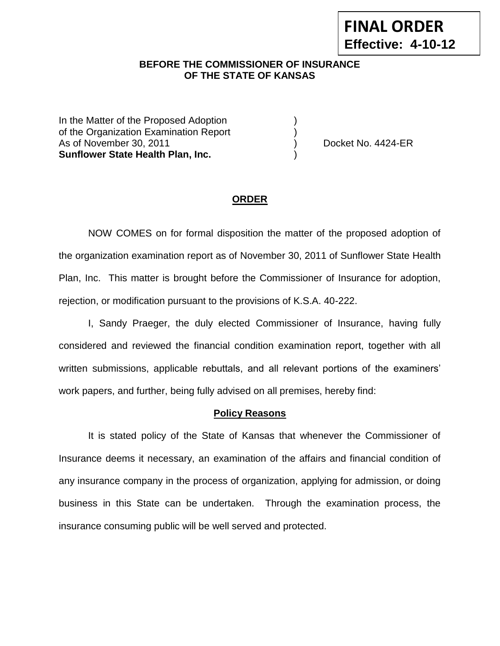# **BEFORE THE COMMISSIONER OF INSURANCE --12OF THE STATE OF KANSAS**

In the Matter of the Proposed Adoption of the Organization Examination Report ) As of November 30, 2011 (and the contract of November 30, 2011) (and the Docket No. 4424-ER **Sunflower State Health Plan, Inc.** )

#### **ORDER**

NOW COMES on for formal disposition the matter of the proposed adoption of the organization examination report as of November 30, 2011 of Sunflower State Health Plan, Inc. This matter is brought before the Commissioner of Insurance for adoption, rejection, or modification pursuant to the provisions of K.S.A. 40-222.

I, Sandy Praeger, the duly elected Commissioner of Insurance, having fully considered and reviewed the financial condition examination report, together with all written submissions, applicable rebuttals, and all relevant portions of the examiners' work papers, and further, being fully advised on all premises, hereby find:

#### **Policy Reasons**

It is stated policy of the State of Kansas that whenever the Commissioner of Insurance deems it necessary, an examination of the affairs and financial condition of any insurance company in the process of organization, applying for admission, or doing business in this State can be undertaken. Through the examination process, the insurance consuming public will be well served and protected.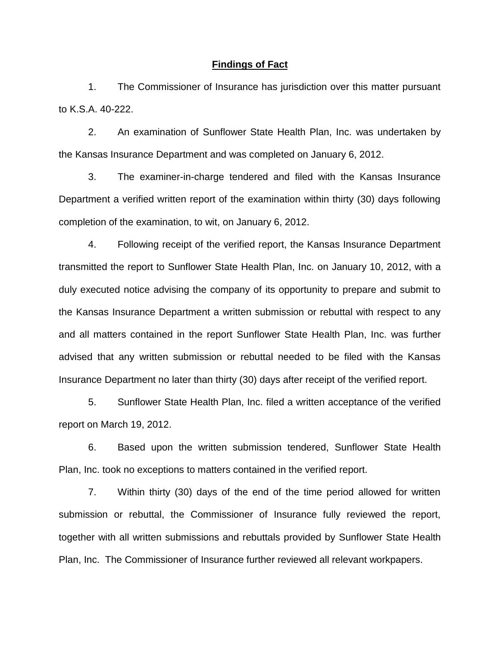#### **Findings of Fact**

1. The Commissioner of Insurance has jurisdiction over this matter pursuant to K.S.A. 40-222.

2. An examination of Sunflower State Health Plan, Inc. was undertaken by the Kansas Insurance Department and was completed on January 6, 2012.

3. The examiner-in-charge tendered and filed with the Kansas Insurance Department a verified written report of the examination within thirty (30) days following completion of the examination, to wit, on January 6, 2012.

4. Following receipt of the verified report, the Kansas Insurance Department transmitted the report to Sunflower State Health Plan, Inc. on January 10, 2012, with a duly executed notice advising the company of its opportunity to prepare and submit to the Kansas Insurance Department a written submission or rebuttal with respect to any and all matters contained in the report Sunflower State Health Plan, Inc. was further advised that any written submission or rebuttal needed to be filed with the Kansas Insurance Department no later than thirty (30) days after receipt of the verified report.

5. Sunflower State Health Plan, Inc. filed a written acceptance of the verified report on March 19, 2012.

6. Based upon the written submission tendered, Sunflower State Health Plan, Inc. took no exceptions to matters contained in the verified report.

7. Within thirty (30) days of the end of the time period allowed for written submission or rebuttal, the Commissioner of Insurance fully reviewed the report, together with all written submissions and rebuttals provided by Sunflower State Health Plan, Inc. The Commissioner of Insurance further reviewed all relevant workpapers.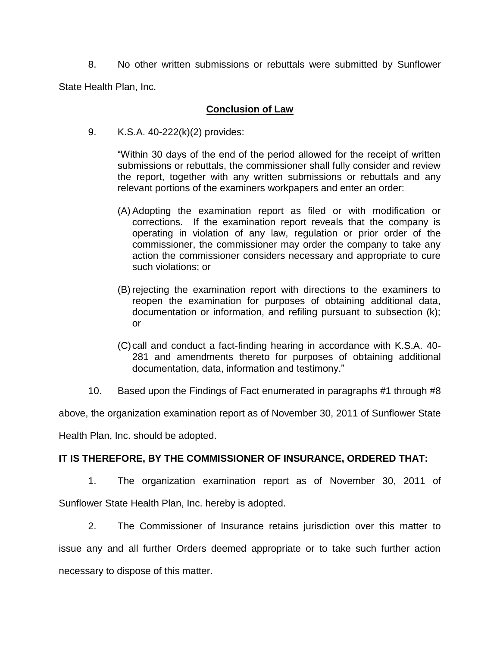8. No other written submissions or rebuttals were submitted by Sunflower

State Health Plan, Inc.

### **Conclusion of Law**

9. K.S.A. 40-222(k)(2) provides:

"Within 30 days of the end of the period allowed for the receipt of written submissions or rebuttals, the commissioner shall fully consider and review the report, together with any written submissions or rebuttals and any relevant portions of the examiners workpapers and enter an order:

- (A) Adopting the examination report as filed or with modification or corrections. If the examination report reveals that the company is operating in violation of any law, regulation or prior order of the commissioner, the commissioner may order the company to take any action the commissioner considers necessary and appropriate to cure such violations; or
- (B) rejecting the examination report with directions to the examiners to reopen the examination for purposes of obtaining additional data, documentation or information, and refiling pursuant to subsection (k); or
- (C)call and conduct a fact-finding hearing in accordance with K.S.A. 40- 281 and amendments thereto for purposes of obtaining additional documentation, data, information and testimony."
- 10. Based upon the Findings of Fact enumerated in paragraphs #1 through #8

above, the organization examination report as of November 30, 2011 of Sunflower State

Health Plan, Inc. should be adopted.

## **IT IS THEREFORE, BY THE COMMISSIONER OF INSURANCE, ORDERED THAT:**

1. The organization examination report as of November 30, 2011 of Sunflower State Health Plan, Inc. hereby is adopted.

2. The Commissioner of Insurance retains jurisdiction over this matter to issue any and all further Orders deemed appropriate or to take such further action necessary to dispose of this matter.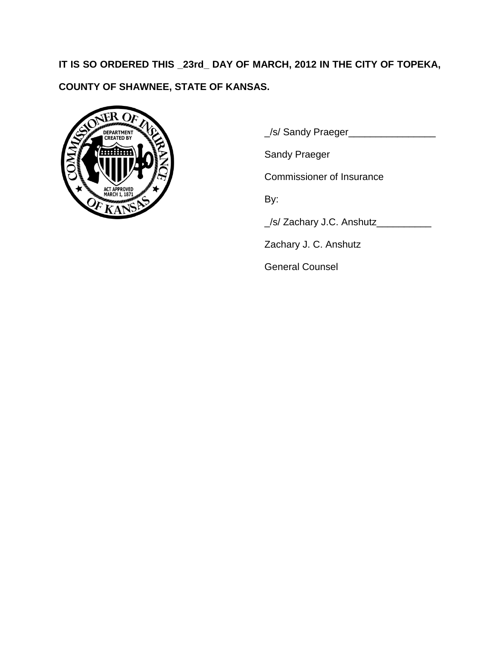**IT IS SO ORDERED THIS \_23rd\_ DAY OF MARCH, 2012 IN THE CITY OF TOPEKA, COUNTY OF SHAWNEE, STATE OF KANSAS.**



\_/s/ Sandy Praeger\_\_\_\_\_\_\_\_\_\_\_\_\_\_\_\_

Sandy Praeger

Commissioner of Insurance

By:

\_/s/ Zachary J.C. Anshutz\_\_\_\_\_\_\_\_\_\_

Zachary J. C. Anshutz

General Counsel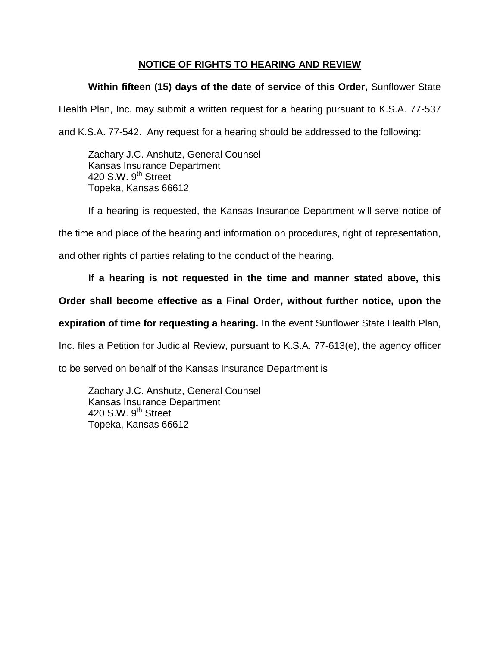# **NOTICE OF RIGHTS TO HEARING AND REVIEW**

# **Within fifteen (15) days of the date of service of this Order,** Sunflower State

Health Plan, Inc. may submit a written request for a hearing pursuant to K.S.A. 77-537

and K.S.A. 77-542. Any request for a hearing should be addressed to the following:

Zachary J.C. Anshutz, General Counsel Kansas Insurance Department 420 S.W. 9<sup>th</sup> Street Topeka, Kansas 66612

If a hearing is requested, the Kansas Insurance Department will serve notice of

the time and place of the hearing and information on procedures, right of representation,

and other rights of parties relating to the conduct of the hearing.

## **If a hearing is not requested in the time and manner stated above, this**

## **Order shall become effective as a Final Order, without further notice, upon the**

**expiration of time for requesting a hearing.** In the event Sunflower State Health Plan,

Inc. files a Petition for Judicial Review, pursuant to K.S.A. 77-613(e), the agency officer

to be served on behalf of the Kansas Insurance Department is

Zachary J.C. Anshutz, General Counsel Kansas Insurance Department 420 S.W.  $9<sup>th</sup>$  Street Topeka, Kansas 66612